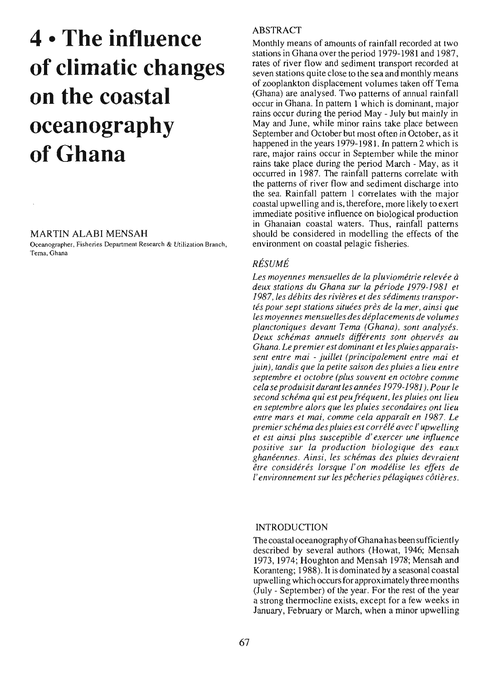# 4 **• The influence of ciimatic changes on the coastai oceanography** of Ghana

#### MARTIN ALABI MENSAH

Oceanographer, Fisheries Department Research & Utilization Branch, Tema, Ghana

### ABSTRACT

Monthly means of amounts of rainfall recorded at two stations in Ghana over the period 1979-1981 and 1987, rates of river flow and sediment transport recorded at seven stations quite close to the sea and monthly means of zooplankton displacement volumes taken off Tema (Ghana) are analysed. Two patterns of annual rainfall occur in Ghana. In pattern 1 which is dominant, major rains occur during the period May - July but mainly in May and June, while minor rains take place between September and October but most often in October, as il happened in the years 1979-1981. **In** pattern 2 which is rare, major rains occur in Septernber while the minor rains take place during the period March - May, as it occurred in 1987. The rainfall patterns correlate with the patterns of river flow and sediment discharge into the sea. Rainfall pattern 1 correlates with the major coastal upwelling and is, therefore, more likely 10 exert immediate positive influence on biological production in Ghanaian coastal waters. Thus, rainfaJ! patterns should be considered in modelling the effects of the environment on coastal pelagie fisheries.

### *RÉSUMÉ*

*Les moyennes mensuelles de la pluviométrie relevée à deux stations du Ghana sur la période* 1979-1981 *et 1987, les débits des rivières et des sédiments transportés pour sept stations situées près de la mer, ainsi que les moyennes mensuelles des déplacements de volumes planctoniques devant Tema (Ghana), sont analysés. Deux schémas annuels différents sont observés au Ghana. Le premier est dominant et les pluies apparaissent entre mai* - *juillet (principalement entre mai et juin), tandis que la petite saison des pluies a lieu entre septembre et octobre (plus souvent en octobre comme cela se produisit durant les années* 1979-1981). *Pour le second schéma qui est peufréquent, les pluies ont lieu en septembre alors que les pluies secondaires ont lieu entre mars et mai, comme cela apparaît en* 1987. *Le premierschéma des pluies est corrélé avec l'upwelling et est ainsi plus susceptible d'exercer une influence positive sur la production biologique des eaux ghanéennes. Ainsi, les schémas des pluies devraient être considérés lorsque l'on modélise les effets de l'environnement sur les pêcheries pélagiques côtières.*

#### INTRODUCTION

The coastal oceanography ofGhana has been sufficiently described by several authors (Howat, 1946; Mensah 1973, 1974; Houghton and Mensah 1978; Mensah and Koranteng; 1988). It is dominated by a seasonal coastal upwelling which occursfor approximately three months (July - September) of the year. For the rest of the year a strong thermocline exists, except for a few weeks in January, February or March, when a minor upwelling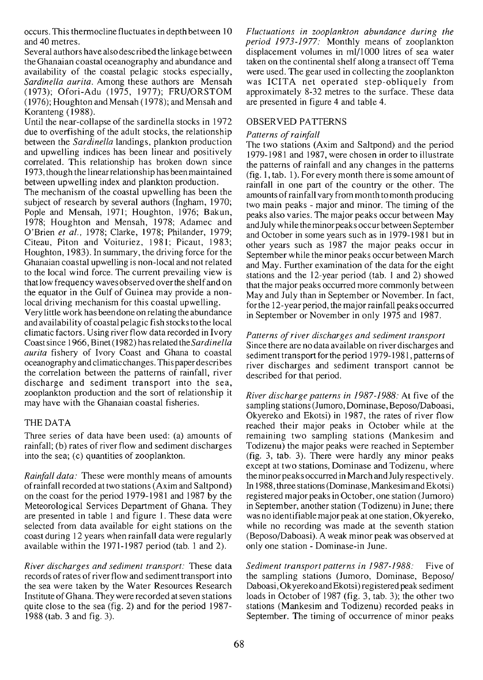occurs. This thermocline fluctuates in depth between 10 and 40 metres.

Several authors have also described the linkage between the Ghanaian coastal oceanography and abundance and availability of the coastal pelagic stocks especially, *Sardinella aurita.* Among these authors are Mensah (1973); Ofori-Adu (1975, 1977); FRU/ORSTOM (1976); Houghton and Mensah (1978); and Mensah and Koranteng (1988).

Until the near-collapse of the sardinella stocks in 1972 due to overfishing of the adult stocks, the relationship between the *Sardinella* landings, plankton production and upwelling indices has been linear and positively correlated. This relationship has broken down since 1973, though the linearrelationship has been maintained between upwelling index and plankton production.

The mechanism of the coastal upwelling has been the subject of research by several authors (Ingham, 1970; Pople and Mensah, 1971; Houghton, 1976; Bakun, 1978; Houghton and Mensah, 1978; Adamec and O'Brien *et al.,* 1978; Clarke, 1978; Philander, 1979; Citeau, Piton and Voituriez, 1981; Picaut, 1983; Houghton, 1983). In summary, the driving force for the Ghanaian coastal upwelling is non-local and not related to the local wind force. The current prevailing view is thatlow frequency waves observed overthe shelfand on the equator in the Gulf of Guinea may provide a nonlocal driving mechanism for this coastal upwelling.

Very little work has been done on relating the abundance and availability of coastal pelagic fish stocksto the local climatic factors. Using river f10w data recorded in 1vory Coastsince 1966, Binet (1982) hasrelated *theSardinella aurita* fishery of Ivory Coast and Ghana to coastal oceanography and climaticchanges. This paperdescribes the correlation between the patterns of rainfall, river discharge and sediment transport into the sea, zooplankton production and the sort of relationship it may have with the Ghanaian coastal fisheries.

#### THE DATA

Three series of data have been used: (a) amounts of rainfall; (b) rates of river flow and sediment discharges into the sea; (c) quantities of zooplankton.

*Rainfall data:* These were monthly means of amounts ofrainfall recorded at two stations (Axim and Saltpond) on the coast for the period 1979-1981 and 1987 by the Meteorological Services Department of Ghana. They are presented in table 1 and figure 1. These data were selected from data available for eight stations on the coast during 12 years when rainfall data were regularly available within the 1971-1987 period (tab. 1 and 2).

*River discharges and sediment transport:* These data records of rates of river flow and sediment transport into the sea were taken by the Water Resources Research Institute of Ghana. They were recorded at seven stations quite close to the sea (fig. 2) and for the period 1987- 1988 (tab. 3 and fig. 3).

*Fluctuations in zooplankton abundance during the period* 1973-1977: Monthly means of zooplankton displacement volumes in ml/lOOO litres of sea water taken on the continental shelf along a transect off Tema were used. The gear used in collecting the zooplankton was ICITA net operated step-obliquely from approximately 8-32 metres to the surface. These data are presented in figure 4 and table 4.

#### OBSERVED PATIERNS

#### *Patterns* of rainfall

The two stations (Axim and Saltpond) and the period 1979-1981 and 1987, were chosen in order to illustrate the patterns of rainfall and any changes in the patterns (fig. l, tab. 1). For every month there is sorne amount of rainfall in one part of the country or the other. The amounts of rainfall vary from month to month producing two main peaks - major and minor. The timing of the peaks also varies. The major peaks *accur* between May and July while the minorpeaks occur between September and October in sorne years such as in 1979-1981 but in other years such as 1987 the major peaks occur in September while the minor peaks occur between March and May. Further examination of the data for the eight stations and the 12-year period (tab. 1 and 2) showed that the major peaks occurred more commonly between May and July than in September or November. In fact, for the 12-year period, the major rainfall peaks occurred in September or November in only 1975 and 1987.

*Patterns ofriver discharges and sediment transport* Since there are no data available on river discharges and sediment transport for the period 1979-1981, patterns of river discharges and sediment transport cannot be described for that period.

*River discharge patterns in* 1987-1988: At five of the sampling stations (Jumoro, Dominase, Beposo/Daboasi, Okyereko and Ekotsi) in 1987, the rates of river flow reached their major peaks in October while at the remaining two sampling stations (Mankesim and Todizenu) the major peaks were reached in September (fig. 3, tab. 3). There were hardly any minor peaks except at two stations, Dominase and Todizenu, where the minorpeaks occurred in March and July respectively. ln 1988, three stations(Dominase, Mankesim and Ekotsi) registered major peaks in October, one station (1umoro) in September, another station (Todizenu) in June; there was no identifiable major peak at one station, Okyereko, while no recording was made at the seventh station (Beposo/Daboasi). A weak minor peak was observed at only one station - Dominase-in June.

*Sediment transport patterns in* 1987-1988: Five of the sampling stations (1umoro, Dominase, Beposo/ Daboasi, Okyerekoand Ekotsi) registered peak sediment loads in October of 1987 (fig. 3, tab. 3); the other two stations (Mankesim and Todizenu) recorded peaks in September. The timing of occurrence of minor peaks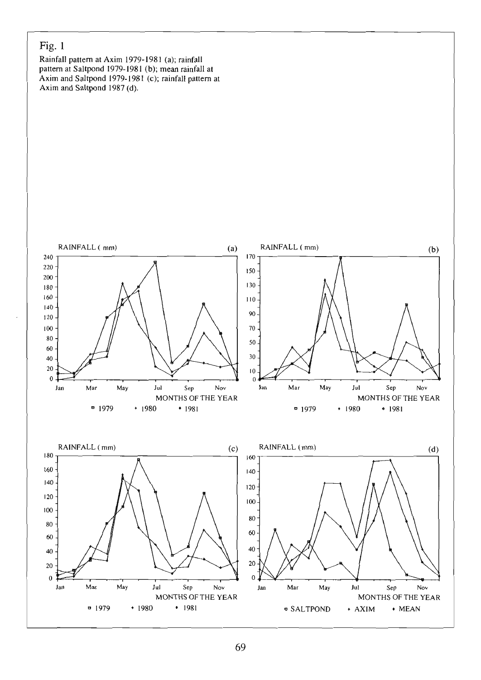### Fig. 1

Rainfall pattern at Axim 1979-1981 (a); rainfall pattern at Saltpond 1979-1981 (b); mean rainfall at Axim and Saltpond 1979-1981 (c); rainfall pattern al Axim and Saltpond 1987 (d).

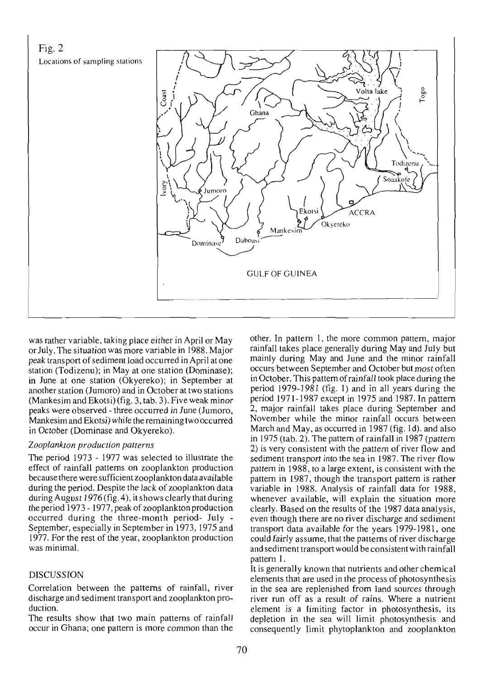

was rather variable, taking place ei ther in April or May orJuly. The situation was more variable in 1988. Major peak transport of sediment load occurred in April at one station (Todizenu); in May at one station (Dominase); in June at one station (Okyereko); in September at another station (Jumoro) and in October at two stations (Mankesim and Ekotsi) (fig. 3, tab. 3). Five weak minor peaks were observed - three occurred in June (Jumoro, Mankesim and Ekotsi) while the remaining two occurred in October (Dominase and Okyereko).

#### *ZooplanklOn production pallerns*

The period 1973 - 1977 was selected to illustrate the effect of rainfall patterns on zooplankton production because there were sufficient zooplankton data available during the period. Despite the lack of zooplankton data during August 1976 (fig. 4), it shows clearly that during the period 1973 - 1977, peak of zooplankton production occurred during the three-month period- July - September, especially in September in 1973, 1975 and 1977. For the rest of the year, zooplankton production was minimal.

### DISCUSSION

Correlation between the patterns of rainfall, river discharge and sediment transport and zooplankton production.

The results show that two main patterns of rainfall occur in Ghana; one pattern is more common than the

other. In pattern 1, the more cornmon pattern, major rainfall takes place generally during May and July but mainly during May and June and the minor rainfall occurs between September and October but most often in October. This pattern of rainfall took place during the period 1979-1981 (fig. 1) and in ail years during the period J971- 1987 except in 1975 and 1987. In pattern 2, major rainfall takes place during September and November while the minor rainfall occurs between March and May, as occurred in 1987 (fig. Id). and also in 1975 (tab. 2). The pattern of rainfall in J987 (pattern 2) is very consistent with the pattern of river flow and sediment transport into the sea in 1987. The river flow pattern in 1988, 10 a large extent, is consistent with the pattern in J987, though the transport pattern is rather variable in 1988. Analysis of rainfall data for 1988, whenever available, will explain the situation more clearly. Based on the results of the J987 data anaJysis, even though there are no river discharge and sediment transport data available for the years 1979-198 l, one could fairly assume, that the patterns of river discharge and sediment transport would be consistent with rainfall pattern 1.

It is generally known that nutrients and other chemical elements that are used in the process of photosynthesis in the sea are replenished from land sources through river run off as a result of rains. Where a nutrient element is a limiting factor in photosynthesis, its depletion in the sea will limit photosynlhesis and consequently limit phytoplankton and zooplankton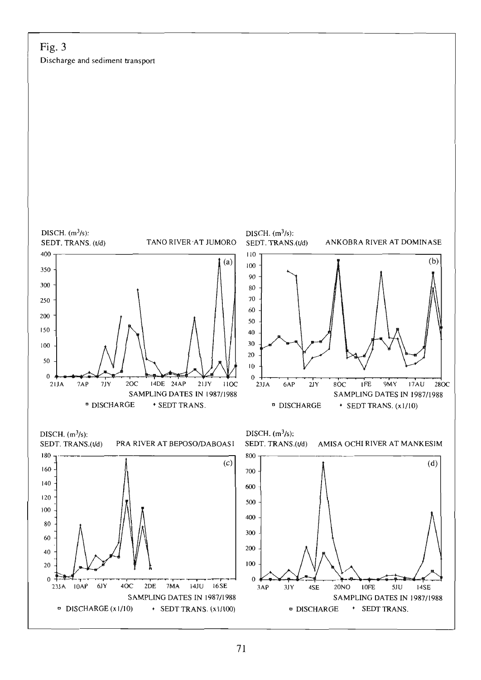### Fig. Discharge and sediment transport

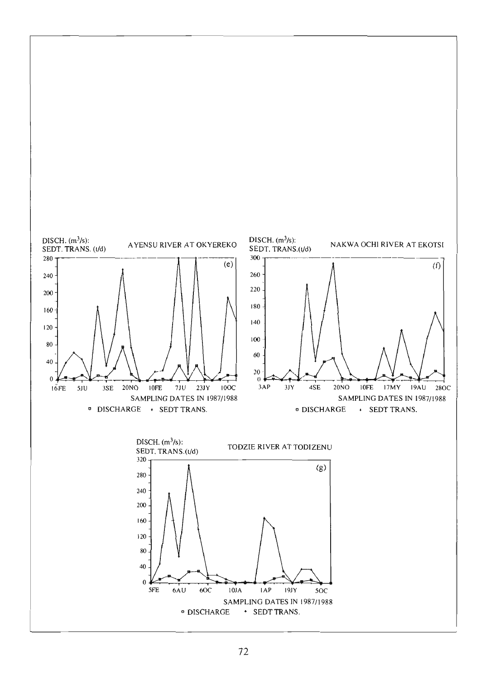

### 72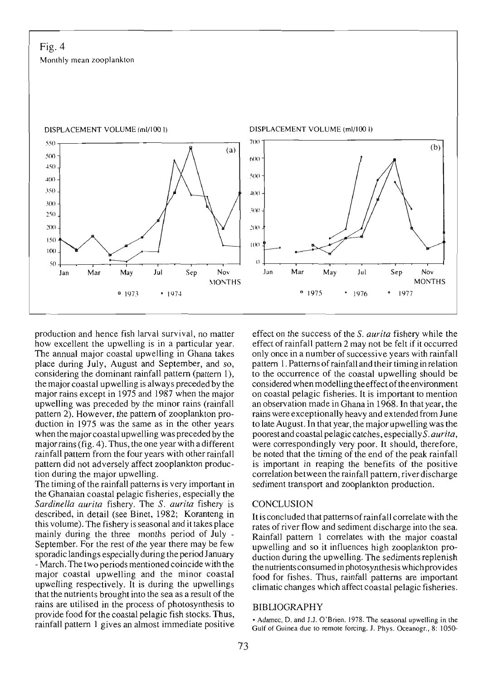Fig. 4 Monthly mean zooplankton



production and hence fish larval survival, no matter how excellent the upwelling is in a particular year. The annual major coastal upwelling in Ghana takes place during July, August and September, and so, considering the dominant rainfall pattern (pattern 1), the major coastal upwelling is always preceded by the major rains except in 1975 and 1987 when the major upwelling was preceded by the minor rains (rainfall pattern 2). However, the pattern of zooplankton production in 1975 was the same as in the other years when the majorcoastal upwelling was preceded by the major rains (fig. 4). Thus, the one year with adifferent rainfall pattern from the four years with other rainfall pattern did not adversely affect zooplankton production during the major upwelling.

The timing of the rainfall patterns is very important in the Ghanaian coastal pelagie fisheries, especially the *Sardinella aurita* fishery. The S. *aurita* fishery is described, in detail (see Binet, 1982; Koranteng in this volume). The fishery is seasonal and it takes place mainly during the three months period of July - September. For the rest of the year there may be few sporadic landings especially during the period January - March. The two periods mentioned coincide with the major coastal upwelling and the minor coastal upwelling respectively. Il is during the upwellings that the nutrients brought into the sea as a result of the rains are utilised in the process of photosynthesis to provide food for the coastal pelagie fish stocks. Thus, rainfall pattern 1 gives an almost immediate positive

effect on the success of the S. *aurita* fishery while the effect of rainfall pattern 2 may not be felt if it occurred only once in a number of successive years with rainfall pattern 1. Patterns ofrainfall and their timing in relation to the occurrence of the coastal upwelling should be considered when modelling theeffectoftheenvironment on coastal pelagie fisheries. It is important to mention an observation made in Ghana in 1968. In that year, the rains were exceptionally heavy and extended from June to late August. In that year, the major upwelling was the poorest and coastal pelagie catches, especiallyS. *aurita,* were correspondingly very poor. It should, therefore, be noted that the timing of the end of the peak rainfall is important in reaping the benefits of the positive correlation between the rainfall pattern, riverdischarge sediment transport and zooplankton production.

#### **CONCLUSION**

It is concluded that patterns of rainfall correlate with the rates of river flow and sediment discharge into the sea. Rainfall pattern 1 correlates with the major coastal upwelling and so it influences high zooplankton production during the upwelling. The sediments replenish the nutrients consumed in photosynthesis which provides food for fishes. Thus, rainfall patterns are important climatic changes which affect coastal pelagic fisheries.

#### BIBLIOGRAPHY

• Adamec, D. and J.J. O'Brien. 1978. The seasonal upwelling in the Gulf of Guinea due to remote forcing. J. Phys. Oceanogr., 8: 1050-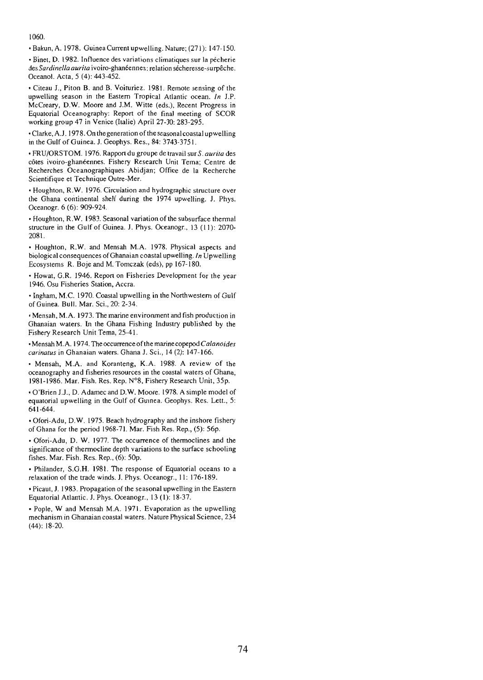#### 1060.

• Bakun, A. 1978. Guinea Current upwelling. Nature; (271): 147-150.

• Binet. D. 1982. Influence des variations climatiques sur la pêcherie *desSardinella aurira* ivoiro-ghanéennes: relation sécheresse-surpêche. Oceanol. Acta, 5 (4): 443-452.

• Citeau J., Piton B. and B. Voituriez. 1981. Remote sensing of the upwelling season in the Eastern Tropical Atlantic ocean. *In* J.P. McCreary. D.W. Moore and J.M. Witte (eds.), Recent Progress in Equatorial Oceanography: Report of the final meeting of SCOR working group 47 in Venice (Italie) April 27-30: 283-295.

•Clarke, A.1. 1978. On thegeneration ofthe seasonal coastal upwelling in the Gulf of Guinea. 1. Geophys. Res., 84: 3743-3751.

• FRU/ORSTOM. 1976. Rapport du groupe de travail sur S. *aurira* des côtes ivoiro-ghanéennes. Fishery Research Unit Tema; Centre de Recherches Oceanographiques Abidjan; Office de la Recherche Scientifique et Technique Outre-Mer.

• Houghton, R.W. 1976. Circulation and hydrographie structure over the Ghana continental shelf during the 1974 upwelling. J. Phys. Oceanogr. 6 (6): 909-924.

• Houghton, R.W. 1983. Seasonal variation of the subsurface thermal structure in the Gulf of Guinea. J. Phys. Oceanogr., 13 (II): 2070- 2081.

• Houghton, R.W. and Mensah M.A. 1978. Physical aspects and biological consequences of Ghanaian coastal upwelling. In Upwelling Ecosystems R. Boje and M. Tomczak (eds), pp 167-180.

• Howat, G.R. 1946. Report on Fisheries Development for the year 1946. Osu Fisheries Station, Accra.

• Ingham, M.C. 1970. Coastal upwelling in the Northwestern of Gulf of Guinea. Bull. Mar. Sei., 20: 2-34.

• Mensah, M.A. 1973. The marine environmenr and fish production in Ghanaian waters. ln the Ghana Fishing Industry published by the Fishery Research Unit Tema, 25-41.

•Mensah M.A. 1974. The occurrence ofthe marinecopepod *Ca/anoides carinarus* in Ghanaian waters. Ghana J. Sei., 14 (2): 147-166.

• Mensah, M.A. and Koranteng, K.A. 1988. A review of the oceanography and fisheries resources in the coastal waters of Ghana, 1981-1986. Mar. Fish. Res. Rep. N°8, Fishery Research Unit, 35p.

• O'Brien J.1., D. Adamecand D.W. Moore. 1978. A simple model of equatorial upwelling in the Gulf of Guinea. Geophys. Res. Lett., 5: 641-644.

• Ofori-Adu, D.W. 1975. Beach hydrography and the inshore fishery of Ghana for the period 1968-71. Mar. Fish Res. Rep., (5): 56p.

• Ofori-Adu, D. W. 1977. The occurrence of Ihermoclines and the significance of thermocline depth variations to the surface schooling fishes. Mar. Fish. Res. Rep., (6): 5Op.

• Philander, S.G.H. 1981. The response of Equatorial oceans 10 a relaxation of the trade winds. J. Phys. Oceanogr., II: 176-189.

• Picaut, J. 1983. Propagation of the seasonal upwelling in the Eastern Equatorial Atlantic. J. Phys. Oceanogr., 13 (1): 18-37.

• Pople, W and Mensah M.A. 1971. Evaporation as the upwelling mechanism in Ghanaian coastal waters. Nature Physical Science, 234 (44): 18-20.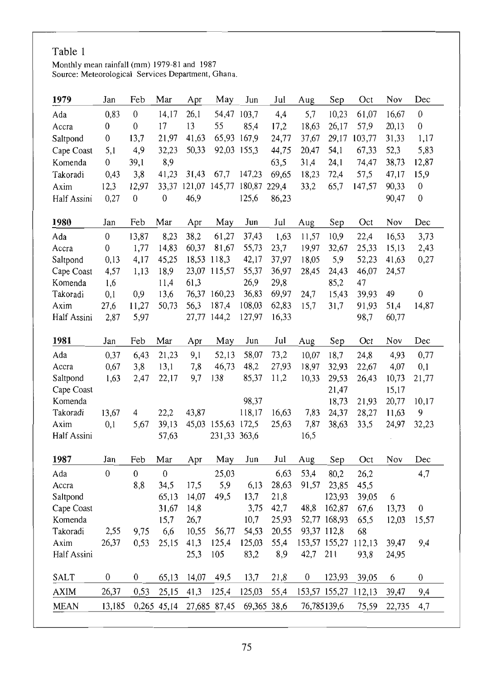### Table 1

Monthly mean rainfall (mm) 1979-81 and 1987 Source: Meteorological Services Department, Ghana.

| 1979        | Jan              | Feb              | Mar              | Apr   | May                 | Jun          | Jul   | Aug   | Sep                  | Oct    | Nov    | Dec              |
|-------------|------------------|------------------|------------------|-------|---------------------|--------------|-------|-------|----------------------|--------|--------|------------------|
| Ada         | 0,83             | $\boldsymbol{0}$ | 14,17            | 26,1  | 54,47 103,7         |              | 4,4   | 5,7   | 10,23                | 61,07  | 16,67  | $\boldsymbol{0}$ |
| Ассга       | $\mathbf{0}$     | $\boldsymbol{0}$ | 17               | 13    | 55                  | 85,4         | 17,2  | 18,63 | 26,17                | 57,9   | 20,13  | $\boldsymbol{0}$ |
| Saltpond    | 0                | 13,7             | 21,97            | 41,63 | 65,93 167,9         |              | 24,77 | 37,67 | 29,17                | 103,77 | 31,33  | 1,17             |
| Cape Coast  | 5,1              | 4,9              | 32,23            | 50,33 | 92,03 155,3         |              | 44,75 | 20,47 | 54,1                 | 67,33  | 52,3   | 5,83             |
| Komenda     | $\boldsymbol{0}$ | 39,1             | 8,9              |       |                     |              | 63,5  | 31,4  | 24,1                 | 74,47  | 38,73  | 12,87            |
| Takoradi    | 0,43             | 3,8              | 41,23            | 31,43 | 67,7                | 147,23       | 69,65 | 18,23 | 72,4                 | 57,5   | 47,17  | 15,9             |
| Axim        | 12,3             | 12,97            |                  |       | 33,37 121,07 145,77 | 180,87 229,4 |       | 33,2  | 65,7                 | 147,57 | 90,33  | $\boldsymbol{0}$ |
| Half Assini | 0,27             | $\mathbf{0}$     | $\mathbf{0}$     | 46,9  |                     | 125,6        | 86,23 |       |                      |        | 90,47  | $\boldsymbol{0}$ |
| 1980        | Jan              | Feb              | Mar              | Apr   | May                 | Jun          | Jul   | Aug   | Sep                  | Oct    | Nov    | Dec              |
| Ada         | $\bf{0}$         | 13,87            | 8,23             | 38,2  | 61,27               | 37,43        | 1,63  | 11,57 | 10,9                 | 22,4   | 16,53  | 3,73             |
| Accra       | 0                | 1,77             | 14,83            | 60,37 | 81,67               | 55,73        | 23,7  | 19,97 | 32,67                | 25,33  | 15,13  | 2,43             |
| Saltpond    | 0,13             | 4,17             | 45,25            |       | 18,53 118,3         | 42,17        | 37,97 | 18,05 | 5,9                  | 52,23  | 41,63  | 0,27             |
| Cape Coast  | 4,57             | 1,13             | 18,9             |       | 23,07 115,57        | 55,37        | 36,97 | 28,45 | 24,43                | 46,07  | 24,57  |                  |
| Komenda     | 1,6              |                  | 11,4             | 61,3  |                     | 26,9         | 29,8  |       | 85,2                 | 47     |        |                  |
| Takoradi    | 0,1              | 0,9              | 13,6             |       | 76,37 160,23        | 36,83        | 69,97 | 24,7  | 15,43                | 39,93  | 49     | $\mathbf{0}$     |
| Axim        | 27,6             | 11,27            | 50,73            | 56,3  | 187,4               | 108,03       | 62,83 | 15,7  | 31,7                 | 91,93  | 51,4   | 14,87            |
| Half Assini | 2,87             | 5,97             |                  |       | 27,77 144,2         | 127,97       | 16,33 |       |                      | 98,7   | 60,77  |                  |
| 1981        | Jan              | Feb              | Mar              | Apr   | May                 | Jun          | Jul   | Aug   | Sep                  | Oct    | Nov    | Dec              |
| Ada         | 0,37             | 6,43             | 21,23            | 9,1   | 52,13               | 58,07        | 73,2  | 10,07 | 18,7                 | 24,8   | 4,93   | 0,77             |
| Accra       | 0,67             | 3,8              | 13,1             | 7,8   | 46,73               | 48,2         | 27,93 | 18,97 | 32,93                | 22,67  | 4,07   | 0,1              |
| Saltpond    | 1,63             | 2,47             | 22,17            | 9,7   | 138                 | 85,37        | 11,2  | 10,33 | 29,53                | 26,43  | 10,73  | 21,77            |
| Cape Coast  |                  |                  |                  |       |                     |              |       |       | 21,47                |        | 15,17  |                  |
| Komenda     |                  |                  |                  |       |                     | 98,37        |       |       | 18,73                | 21,93  | 20,77  | 10,17            |
| Takoradi    | 13,67            | 4                | 22,2             | 43,87 |                     | 118,17       | 16,63 | 7,83  | 24,37                | 28,27  | 11,63  | 9                |
| Axim        | 0,1              | 5,67             | 39,13            |       | 45,03 155,63        | 172,5        | 25,63 | 7,87  | 38,63                | 33,5   | 24,97  | 32,23            |
| Half Assini |                  |                  | 57,63            |       | 231,33 363,6        |              |       | 16,5  |                      |        |        |                  |
| 1987        | Jan              | Feb              | Mar              | Apr   | May                 | Jun          | Jul   | Aug   | Sep                  | Oct    | Nov    | Dec              |
| Ada         | $\theta$         | $\mathbf{0}$     | $\boldsymbol{0}$ |       | 25,03               |              | 6,63  | 53,4  | 80,2                 | 26,2   |        | 4,7              |
| Accra       |                  | 8,8              | 34,5             | 17,5  | 5,9                 | 6,13         | 28,63 | 91,57 | 23,85                | 45,5   |        |                  |
| Saltpond    |                  |                  | 65,13            | 14,07 | 49,5                | 13,7         | 21,8  |       | 123,93               | 39,05  | 6      |                  |
| Cape Coast  |                  |                  | 31,67            | 14,8  |                     | 3,75         | 42,7  | 48,8  | 162,87               | 67,6   | 13,73  | $\boldsymbol{0}$ |
| Komenda     |                  |                  | 15,7             | 26,7  |                     | 10,7         | 25,93 |       | 52,77 168,93         | 65,5   | 12,03  | 15,57            |
| Takoradi    | 2,55             | 9,75             | 6,6              | 10,55 | 56,77               | 54,53        | 20,55 |       | 93,37 112,8          | 68     |        |                  |
| Axim        | 26,37            | 0,53             | 25,15            | 41,3  | 125,4               | 125,03       | 55,4  |       | 153,57 155,27        | 112,13 | 39,47  | 9,4              |
| Half Assini |                  |                  |                  | 25,3  | 105                 | 83,2         | 8,9   | 42,7  | 211                  | 93,8   | 24,95  |                  |
| <b>SALT</b> | 0                | 0                | 65,13            | 14,07 | 49,5                | 13,7         | 21,8  | 0     | 123,93               | 39,05  | 6      | 0                |
| <b>AXIM</b> | 26,37            | 0,53             | 25,15            | 41,3  | 125,4               | 125,03       | 55,4  |       | 153,57 155,27 112,13 |        | 39,47  | 9,4              |
| <b>MEAN</b> | 13,185           |                  | 0,265 45,14      |       | 27,685 87,45        | 69,365 38,6  |       |       | 76,785139,6          | 75,59  | 22,735 | 4,7              |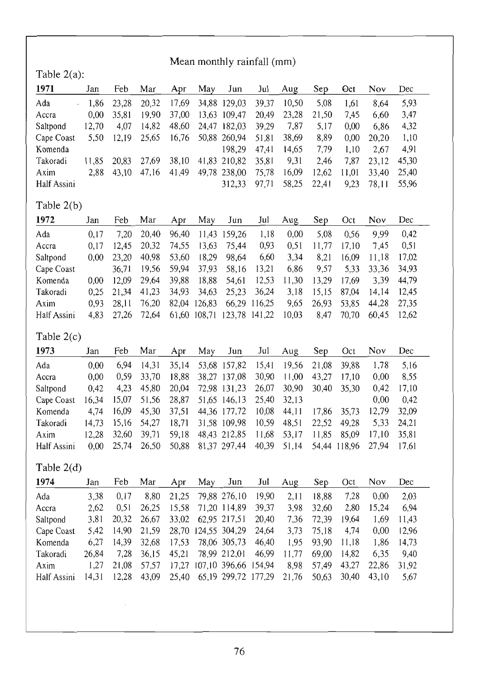| Mean monthly rainfall (mm)  |       |       |       |       |              |               |        |       |       |              |           |       |
|-----------------------------|-------|-------|-------|-------|--------------|---------------|--------|-------|-------|--------------|-----------|-------|
| Table $2(a)$ :              |       |       |       |       |              |               |        |       |       |              |           |       |
| 1971                        | Jan   | Feb   | Mar   | Apr   | May          | Jun           | Jul    | Aug   | Sep   | Oct          | Nov       | Dec   |
| Ada<br>$\ddot{\phantom{0}}$ | 1,86  | 23,28 | 20,32 | 17,69 |              | 34,88 129,03  | 39,37  | 10,50 | 5,08  | 1,61         | 8,64      | 5,93  |
| Accra                       | 0,00  | 35,81 | 19,90 | 37,00 |              | 13,63 109,47  | 20,49  | 23,28 | 21,50 | 7,45         | 6,60      | 3,47  |
| Saltpond                    | 12,70 | 4,07  | 14,82 | 48,60 |              | 24,47 182,03  | 39,29  | 7,87  | 5,17  | 0,00         | 6,86      | 4,32  |
| Cape Coast                  | 5,50  | 12,19 | 25,65 | 16,76 |              | 50,88 260,94  | 51,81  | 38,69 | 8,89  | 0,00         | 20,20     | 1,10  |
| Komenda                     |       |       |       |       |              | 198,29        | 47,41  | 14,65 | 7,79  | 1,10         | 2,67      | 4,91  |
| Takoradi                    | 11,85 | 20,83 | 27,69 | 38,10 |              | 41,83 210,82  | 35,81  | 9,31  | 2,46  | 7,87         | 23,12     | 45,30 |
| Axim                        | 2,88  | 43,10 | 47,16 | 41,49 |              | 49,78 238,00  | 75,78  | 16,09 | 12,62 | 11,01        | 33,40     | 25,40 |
| Half Assini                 |       |       |       |       |              | 312,33        | 97,71  | 58,25 | 22,41 | 9,23         | 78,11     | 55,96 |
| Table $2(b)$                |       |       |       |       |              |               |        |       |       |              |           |       |
| 1972                        | Jan   | Feb   | Mar   | Apr   | May          | Jun           | Jul    | Aug   | Sep   | Oct          | Nov       | Dec   |
| Ada                         | 0,17  | 7,20  | 20,40 | 96,40 | 11,43        | 159,26        | 1,18   | 0,00  | 5,08  | 0,56         | 9,99      | 0,42  |
| Accra                       | 0,17  | 12,45 | 20,32 | 74,55 | 13,63        | 75,44         | 0,93   | 0, 51 | 11,77 | 17,10        | 7,45      | 0,51  |
| Saltpond                    | 0,00  | 23,20 | 40,98 | 53,60 | 18,29        | 98,64         | 6,60   | 3,34  | 8,21  | 16,09        | 11,18     | 17,02 |
| Cape Coast                  |       | 36,71 | 19,56 | 59,94 | 37,93        | 58,16         | 13,21  | 6,86  | 9,57  | 5,33         | 33,36     | 34,93 |
| Komenda                     | 0,00  | 12,09 | 29,64 | 39,88 | 18,88        | 54,61         | 12,53  | 11,30 | 13,29 | 17,69        | 3,39      | 44,79 |
| Takoradi                    | 0,25  | 21,34 | 41,23 | 34,93 | 34,63        | 25,23         | 36,24  | 3,18  | 15,15 | 87,04        | 14,14     | 12,45 |
| Axim                        | 0,93  | 28,11 | 76,20 |       | 82,04 126,83 | 66,29         | 116,25 | 9,65  | 26,93 | 53,85        | 44,28     | 27,35 |
| Half Assini                 | 4,83  | 27,26 | 72,64 |       | 61,60 108,71 | 123,78        | 141,22 | 10,03 | 8,47  | 70,70        | 60,45     | 12,62 |
| Table $2(c)$                |       |       |       |       |              |               |        |       |       |              |           |       |
| 1973                        | Jan   | Feb   | Mar   | Apr   | May          | Jun           | Jul    | Aug   | Sep   | Oct          | Nov       | Dec   |
| Ada                         | 0,00  | 6,94  | 14,31 | 35,14 |              | 53,68 157,82  | 15,41  | 19,56 | 21,08 | 39,88        | 1,78      | 5,16  |
| Accra                       | 0,00  | 0,59  | 33,70 | 18,88 |              | 38,27 137,08  | 30,90  | 11,00 | 43,27 | 17,10        | 0,00      | 8,55  |
| Saltpond                    | 0,42  | 4,23  | 45,80 | 20,04 |              | 72,98 131,23  | 26,07  | 30,90 | 30,40 | 35,30        | 0,42      | 17,10 |
| Cape Coast                  | 16,34 | 15,07 | 51,56 | 28,87 |              | 51,65 146,13  | 25,40  | 32,13 |       |              | $_{0,00}$ | 0,42  |
| Komenda                     | 4,74  | 16,09 | 45,30 | 37,51 |              | 44,36 177,72  | 10,08  | 44,11 | 17,86 | 35,73        | 12,79     | 32,09 |
| Takoradi                    | 14,73 | 15,16 | 54,27 | 18,71 |              | 31,58 109,98  | 10,59  | 48,51 | 22,52 | 49,28        | 5,33      | 24,21 |
| Axim                        | 12,28 | 32,60 | 39,71 | 59,18 |              | 48,43 212,85  | 11,68  | 53,17 | 11,85 | 85,09        | 17,10     | 35,81 |
| Half Assini                 | 0,00  | 25,74 | 26,50 | 50,88 |              | 81,37 297,44  | 40,39  | 51,14 |       | 54,44 118,96 | 27,94     | 17,61 |
| Table 2(d)                  |       |       |       |       |              |               |        |       |       |              |           |       |
| 1974                        | Jan   | Feb   | Mar   | Apr   | May          | Jun           | Jul    | Aug   | Sep   | Oct          | Nov       | Dec   |
| Ada                         | 3,38  | 0,17  | 8,80  | 21,25 |              | 79,88 276,10  | 19,90  | 2,11  | 18,88 | 7,28         | 0,00      | 2,03  |
| Accra                       | 2,62  | 0,51  | 26,25 | 15,58 |              | 71,20 114,89  | 39,37  | 3,98  | 32,60 | 2,80         | 15,24     | 6,94  |
| Saltpond                    | 3,81  | 20,32 | 26,67 | 33,02 |              | 62,95 217,51  | 20,40  | 7,36  | 72,39 | 19,64        | 1,69      | 11,43 |
| Cape Coast                  | 5,42  | 14,90 | 21,59 | 28,70 |              | 124,55 304,29 | 24,64  | 3,73  | 75,18 | 4,74         | 0,00      | 12,96 |
| Komenda                     | 6,27  | 14,39 | 32,68 | 17,53 |              | 78,06 305,73  | 46,40  | 1,95  | 93,90 | 11,18        | 1,86      | 14,73 |
| Takoradi                    | 26,84 | 7,28  | 36,15 | 45,21 |              | 78,99 212,01  | 46,99  | 11,77 | 69,00 | 14,82        | 6,35      | 9,40  |
| Axim                        | 1,27  | 21,08 | 57,57 | 17,27 |              | 107,10 396,66 | 154,94 | 8,98  | 57,49 | 43,27        | 22,86     | 31,92 |

Half Assini 14,31 12,28 43,09 25,40 65,19 299,72 177,29 21,76 50,63 30,40 43,10 5,67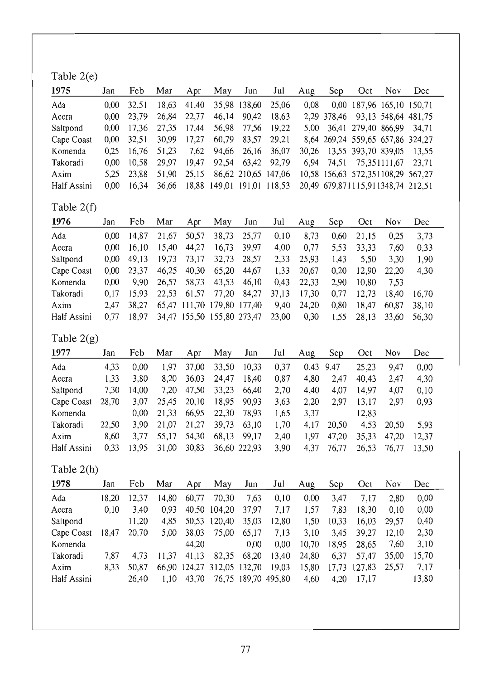## Table 2(e)

| 1975        | Jan               | Feb   | Mar   | Apr   | May                        | Jun                 | Jul         | Aug   | Sep   | Oct                               | Nov          | Dec.  |
|-------------|-------------------|-------|-------|-------|----------------------------|---------------------|-------------|-------|-------|-----------------------------------|--------------|-------|
| Ada         | $0.00 -$          | 32.51 | 18.63 | 41,40 |                            | 35,98 138,60        | 25,06       | 0.08  |       | 0,00 187,96 165,10 150,71         |              |       |
| Accra       | 0.00 <sub>1</sub> | 23.79 | 26,84 | 22,77 | 46,14                      | 90,42               | 18.63       |       |       | 2,29 378,46 93,13 548,64 481,75   |              |       |
| Saltpond    | 0.00              | 17.36 | 27.35 | 17,44 | 56,98                      | 77.56               | 19.22       |       |       | 5,00 36,41 279,40 866,99 34,71    |              |       |
| Cape Coast  | 0.00 <sub>1</sub> | 32.51 | 30,99 | 17,27 | 60.79                      | 83.57               | 29,21       |       |       | 8,64 269,24 559,65 657,86 324,27  |              |       |
| Komenda     | 0.25              | 16.76 | 51.23 | 7.62  | 94,66                      |                     | 26,16 36,07 | 30.26 |       | 13.55 393.70 839.05               |              | 13.55 |
| Takoradi    | 0.00              | 10.58 | 29.97 | 19.47 | 92.54                      | 63.42               | 92.79       | 6.94  | 74,51 |                                   | 75.351111.67 | 23.71 |
| Axim        | 5.25              | 23.88 | 51.90 | 25,15 |                            | 86,62 210,65 147,06 |             |       |       | 10,58 156,63 572,351108,29 567,27 |              |       |
| Half Assini | 0.00 <sub>1</sub> | 16.34 | 36.66 |       | 18,88 149,01 191,01 118,53 |                     |             |       |       | 20,49 679,871115,911348,74 212.51 |              |       |

# Table 2(t)

| 1976        | Jan               | Feb   | Mar   | Apr   | May                        | Jun   | Jul   | Aug   | Sep  | Oct   | Nov   | Dec.  |
|-------------|-------------------|-------|-------|-------|----------------------------|-------|-------|-------|------|-------|-------|-------|
| Ada         | 0.00 <sub>1</sub> | 14.87 | 21,67 | 50.57 | 38.73                      | 25,77 | 0.10  | 8.73  | 0.60 | 21.15 | 0.25  | 3.73  |
| Accra       | 0.00              | 16.10 | 15,40 | 44,27 | 16.73                      | 39,97 | 4.00  | 0.77  | 5.53 | 33.33 | 7.60  | 0,33  |
| Saltpond    | 0.00 <sub>1</sub> | 49.13 | 19.73 | 73.17 | 32,73                      | 28.57 | 2,33  | 25.93 | 1.43 | 5.50  | 3.30  | 1.90  |
| Cape Coast  | 0.00 <sub>1</sub> | 23.37 | 46.25 | 40.30 | 65.20                      | 44.67 | 1.33  | 20,67 | 0.20 | 12,90 | 22.20 | 4.30  |
| Komenda     | 0.00              | 9.90  | 26.57 | 58.73 | 43,53                      | 46.10 | 0.43  | 22,33 | 2.90 | 10.80 | 7.53  |       |
| Takoradi    | 0.17              | 15.93 | 22.53 | 61,57 | 77,20                      | 84,27 | 37.13 | 17.30 | 0.77 | 12.73 | 18,40 | 16.70 |
| Axim        | 2.47              | 38.27 |       |       | 65.47 111.70 179.80 177.40 |       | 9,40  | 24,20 | 0.80 | 18.47 | 60.87 | 38.10 |
| Half Assini | 0.77              | 18.97 |       |       | 34,47 155,50 155,80 273,47 |       | 23,00 | 0.30  | 1.55 | 28.13 | 33,60 | 56.30 |

# Table 2(g)

| 1977        | Jan   | Feb   | Mar   | Apr   | May   | Jun          | Jul  | Aug  | Sep   | Oct   | Nov   | Dec.  |
|-------------|-------|-------|-------|-------|-------|--------------|------|------|-------|-------|-------|-------|
| Ada         | 4.33  | 0.00  | 1.97  | 37.00 | 33,50 | 10.33        | 0.37 | 0.43 | 9.47  | 25.23 | 9.47  | 0.00  |
| Accra       | 1.33  | 3.80  | 8.20  | 36,03 | 24,47 | 18.40        | 0.87 | 4.80 | 2.47  | 40.43 | 2.47  | 4.30  |
| Saltpond    | 7.30  | 14.00 | 7.20  | 47,50 | 33.23 | 66.40        | 2.70 | 4.40 | 4.07  | 14.97 | 4.07  | 0.10  |
| Cape Coast  | 28.70 | 3,07  | 25,45 | 20,10 | 18,95 | 90,93        | 3.63 | 2.20 | 2.97  | 13.17 | 2.97  | 0.93  |
| Komenda     |       | 0.00  | 21.33 | 66.95 | 22,30 | 78.93        | 1.65 | 3.37 |       | 12.83 |       |       |
| Takoradi    | 22.50 | 3.90  | 21,07 | 21,27 | 39.73 | 63,10        | 1.70 | 4.17 | 20.50 | 4.53  | 20.50 | 5.93  |
| Axim        | 8.60  | 3.77  | 55.17 | 54,30 | 68,13 | 99.17        | 2.40 | 1.97 | 47,20 | 35.33 | 47.20 | 12.37 |
| Half Assini | 0.33  | 13.95 | 31,00 | 30,83 |       | 36,60 222,93 | 3.90 | 4.37 | 76.77 | 26.53 | 76.77 | 13.50 |

## Table 2(h)

| 1978        | Jan   | Feb   | Mar   | Apr   | May                  | Jun   | Jul                 | Aug   | Sep   | Oct          | Nov   | Dec   |
|-------------|-------|-------|-------|-------|----------------------|-------|---------------------|-------|-------|--------------|-------|-------|
| Ada         | 18.20 | 12.37 | 14.80 | 60,77 | 70.30                | 7.63  | 0.10                | 0.00  | 3.47  | 7.17         | 2.80  | 0.00  |
| Accra       | 0.10  | 3.40  | 0.93  | 40.50 | 104,20               | 37,97 | 7.17                | 1,57  | 7.83  | 18.30        | 0.10  | 0.00  |
| Saltpond    |       | 11.20 | 4.85  | 50.53 | 120.40               | 35,03 | 12,80               | 1,50  | 10.33 | 16.03        | 29,57 | 0.40  |
| Cape Coast  | 18.47 | 20,70 | 5.00  | 38,03 | 75,00                | 65.17 | 7.13                | 3.10  | 3.45  | 39.27        | 12.10 | 2.30  |
| Komenda     |       |       |       | 44.20 |                      | 0.00  | 0.00                | 10.70 | 18.95 | 28.65        | 7.60  | 3.10  |
| Takoradi    | 7.87  | 4.73  | 11.37 | 41.13 | 82,35                | 68.20 | 13,40               | 24.80 | 6.37  | 57.47        | 35,00 | 15.70 |
| Axim        | 8.33  | 50.87 | 66.90 |       | 124,27 312,05 132,70 |       | 19.03               | 15,80 |       | 17,73 127,83 | 25.57 | 7.17  |
| Half Assini |       | 26,40 | 1.10  | 43.70 |                      |       | 76,75 189,70 495,80 | 4,60  | 4.20  | 17,17        |       | 13.80 |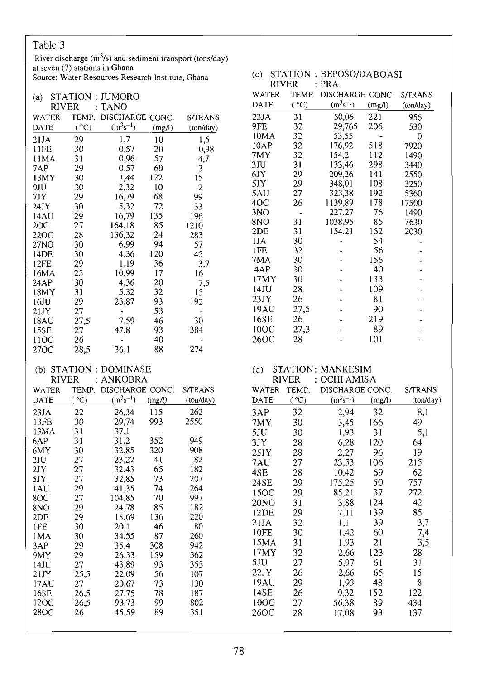### Table 3

River discharge  $(m^3/s)$  and sediment transport (tons/day) at seven (7) stations in Ghana Source: Water Resources Research Institute, Ghana

#### (a) STATION : JUMORO

| RIVER       | İ     | TANO            |        |           |
|-------------|-------|-----------------|--------|-----------|
| WATER       | TEMP. | DISCHARGE CONC. |        | S/TRANS   |
| <b>DATE</b> | (°C)  | $(m^3s^{-1})$   | (mg/l) | (ton/day) |
| 21JA        | 29    | 1,7             | 10     | 1,5       |
| 11FE        | 30    | 0,57            | 20     | 0,98      |
| 11MA        | 31    | 0,96            | 57     | 4,7       |
| 7AP         | 29    | 0,57            | 60     | 3         |
| 13MY        | 30    | 1,44            | 122    | 15        |
| 9JU         | 30    | 2,32            | 10     | 2         |
| 7JY         | 29    | 16,79           | 68     | 99        |
| 24JY        | 30    | 5,32            | 72     | 33        |
| 14AU        | 29    | 16,79           | 135    | 196       |
| 2OC         | 27    | 164,18          | 85     | 1210      |
| 22OC        | 28    | 136,32          | 24     | 283       |
| 27NO        | 30    | 6,99            | 94     | 57        |
| 14DE        | 30    | 4,36            | 120    | 45        |
| 12FE        | 29    | 1,19            | 36     | 3,7       |
| 16MA        | 25    | 10,99           | 17     | 16        |
| 24AP        | 30    | 4,36            | 20     | 7,5       |
| 18MY        | 31    | 5,32            | 32     | 15        |
| 16JU        | 29    | 23,87           | 93     | 192       |
| 21JY        | 27    |                 | 53     |           |
| 18AU        | 27,5  | 7,59            | 46     | 30        |
| 15SE        | 27    | 47,8            | 93     | 384       |
| 11OC        | 26    |                 | 40     |           |
| 27OC        | 28,5  | 36,1            | 88     | 274       |

#### (b) STATION : DOMINASE  $\cdot$  ANKORRA DIVED

| <b>NI V EN</b> |       | ANNODNA         |        |           |
|----------------|-------|-----------------|--------|-----------|
| <b>WATER</b>   | TEMP. | DISCHARGE CONC. |        | S/TRANS   |
| DATE           | (°C)  | $(m^3s^{-1})$   | (mg/l) | (ton/day) |
| 23JA           | 22    | 26,34           | 115    | 262       |
| 13FE           | 30    | 29,74           | 993    | 2550      |
| 13MA           | 31    | 37,1            |        |           |
| 6AP            | 31    | 31,2            | 352    | 949       |
| 6MY            | 30    | 32,85           | 320    | 908       |
| 2JU            | 27    | 23,22           | 41     | 82        |
| 2JY            | 27    | 32,43           | 65     | 182       |
| 5JY            | 27    | 32,85           | 73     | 207       |
| 1 A U          | 29    | 41,35           | 74     | 264       |
| 8OC            | 27    | 104,85          | 70     | 997       |
| 8NO            | 29    | 24,78           | 85     | 182       |
| 2DE            | 29    | 18,69           | 136    | 220       |
| 1FE            | 30    | 20,1            | 46     | 80        |
| 1MA            | 30    | 34,55           | 87     | 260       |
| 3AP            | 29    | 35,4            | 308    | 942       |
| 9MY            | 29    | 26,33           | 159    | 362       |
| 14JU           | 27    | 43,89           | 93     | 353       |
| 21JY           | 25,5  | 22,09           | 56     | 107       |
| 17AU           | 27    | 20,67           | 73     | 130       |
| 16SE           | 26,5  | 27,75           | 78     | 187       |
| 12OC           | 26,5  | 93,73           | 99     | 802       |
| 28OC           | 26    | 45,59           | 89     | 351       |
|                |       |                 |        |           |

#### (c) STATION : BEPOSO/DABOASI **RIVER**  $: **PRA**$ WATER TEMP. DISCHARGE CONC. S/TRANS  $(°C)$  $(m^3s^{-1})$ **DATE**  $(mg/l)$  $(ton/day)$  $23JA$  $31$ 50.06 221 956 9FE 32 29,765 206 530 10MA 32 53,55  $\mathbf{0}$ 7920 32 176,92 518  $10AP$ 32 7MY 154,2 112 1490  $3JU$  $31$ 133,46 298 3440 29 209,26 6JY  $141$ 2550 29 348,01 108 3250 5JY 5AU 27 323,38 192 5360 1139,89 4OC 26 178 17500  $3NO$ 227,27 76 1490  $\overline{\phantom{a}}$ 85 1038,95 7630 **8NO** 31 152 2030  $2DE$  $31$  $154,21$  $1JA$ 30 54 Ĭ.  $1FE$ 32 56  $\centerdot$ J. 7MA 30 156  $\overline{a}$  $\overline{a}$

÷,

Ĭ.

 $\overline{a}$ 

 $\overline{a}$ 

 $\overline{a}$ 

L,

Ĭ.

L,

40

133

109

81

90

89

219

101

 $\overline{a}$ 

 $\overline{a}$ 

l,

Ĭ.

 $\overline{a}$ 

L.

 $\overline{a}$ 

Ĭ.

#### **STATION: MANKESIM**  $(d)$  $PIVED$  $.$  OCHI AMIS A

4AP

17MY

 $14JU$ 

 $23JY$ 

19AU

16SE

 $10OC$ 

26OC

30

30

28

26

27,5

 $27,3$ 

26

28

|                  | <b>KIV CK</b> | UUTII AIVIIDA   |        |           |
|------------------|---------------|-----------------|--------|-----------|
| WATER            | TEMP.         | DISCHARGE CONC. |        | S/TRANS   |
| <b>DATE</b>      | (°C)          | $(m^3s^{-1})$   | (mg/l) | (ton/day) |
| 3AP              | 32            | 2,94            | 32     | 8,1       |
| 7MY              | 30            | 3,45            | 166    | 49        |
| 5JU              | 30            | 1,93            | 31     | 5,1       |
| 3JY              | 28            | 6,28            | 120    | 64        |
| 25JY             | 28            | 2,27            | 96     | 19        |
| 7AU              | 27            | 23,53           | 106    | 215       |
| 4SE              | 28            | 10,42           | 69     | 62        |
| 24SE             | 29            | 175,25          | 50     | 757       |
| 15OC             | 29            | 85,21           | 37     | 272       |
| 20 <sub>NO</sub> | 31            | 3,88            | 124    | 42        |
| 12DE             | 29            | 7,11            | 139    | 85        |
| 21JA             | 32            | 1,1             | 39     | 3,7       |
| 10FE             | 30            | 1,42            | 60     | 7,4       |
| 15MA             | 31            | 1,93            | 21     | 3,5       |
| 17MY             | 32            | 2,66            | 123    | 28        |
| 5JU              | 27            | 5,97            | 61     | 31        |
| 22JY             | 26            | 2,66            | 65     | 15        |
| 19AU             | 29            | 1,93            | 48     | 8         |
| 14SE             | 26            | 9,32            | 152    | 122       |
| 10OC             | 27            | 56,38           | 89     | 434       |
| 26OC             | 28            | 17,08           | 93     | 137       |